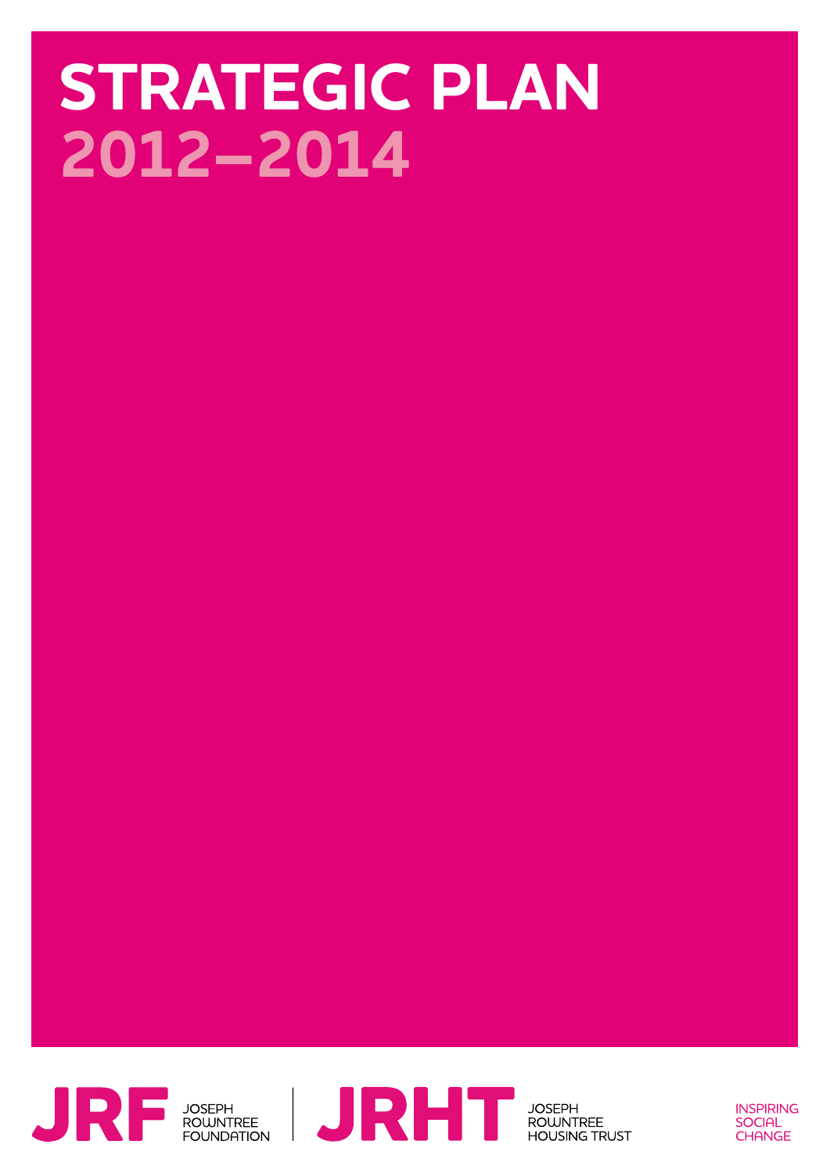## **STRATEGIC PLAN 2012–2014**

JR



**JOSEPH<br>ROWNTREE** HOUSING TRUST

**INSPIRING SOCIAL CHANGE**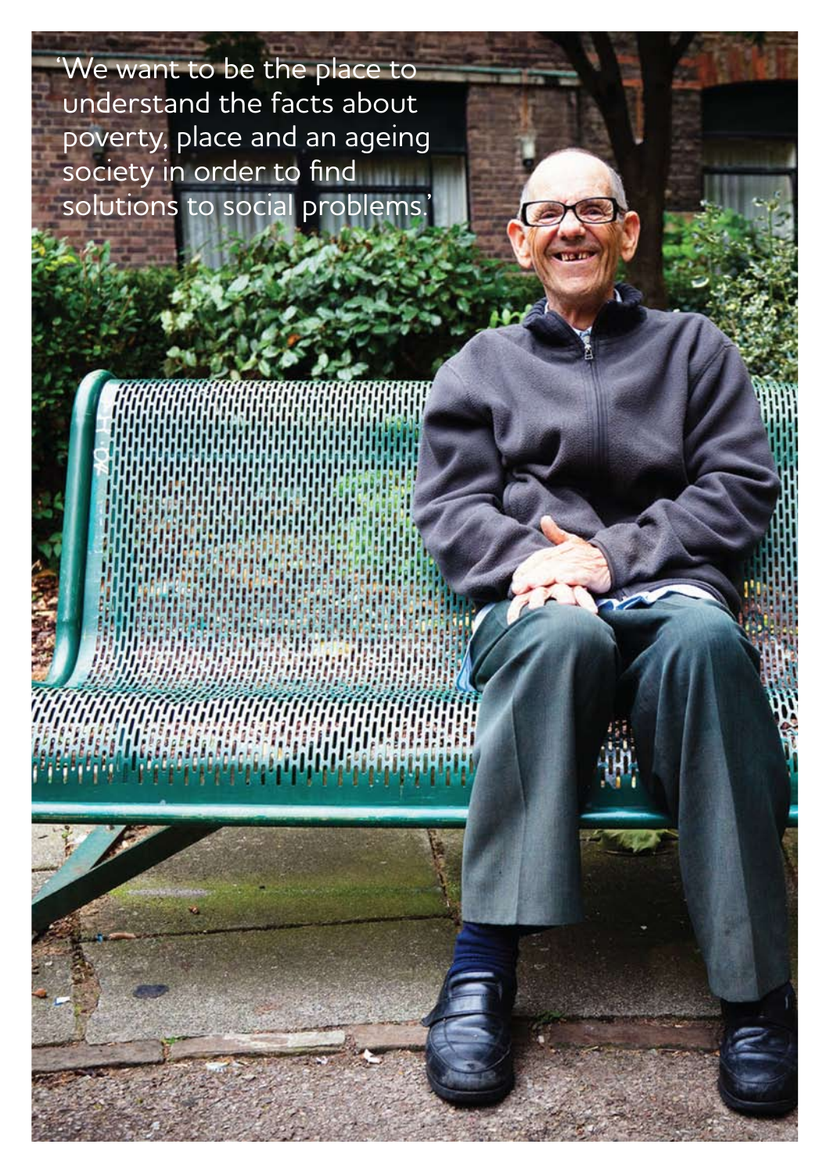'We want to be the place to understand the facts about poverty, place and an ageing society in order to find solutions to social problems.'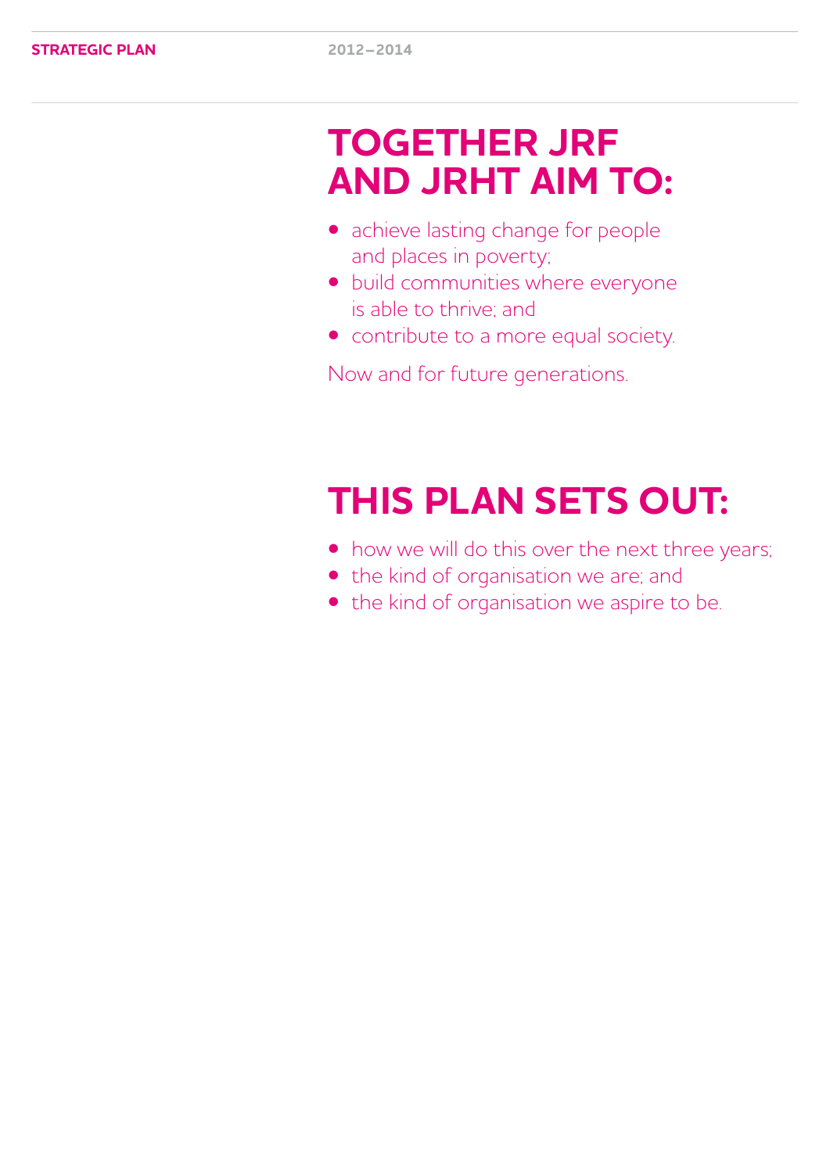### **Together JRF and JRHT aim to:**

- achieve lasting change for people and places in poverty;
- build communities where everyone is able to thrive; and
- contribute to a more equal society.

Now and for future generations.

## **This plan sets out:**

- how we will do this over the next three years;
- the kind of organisation we are; and
- the kind of organisation we aspire to be.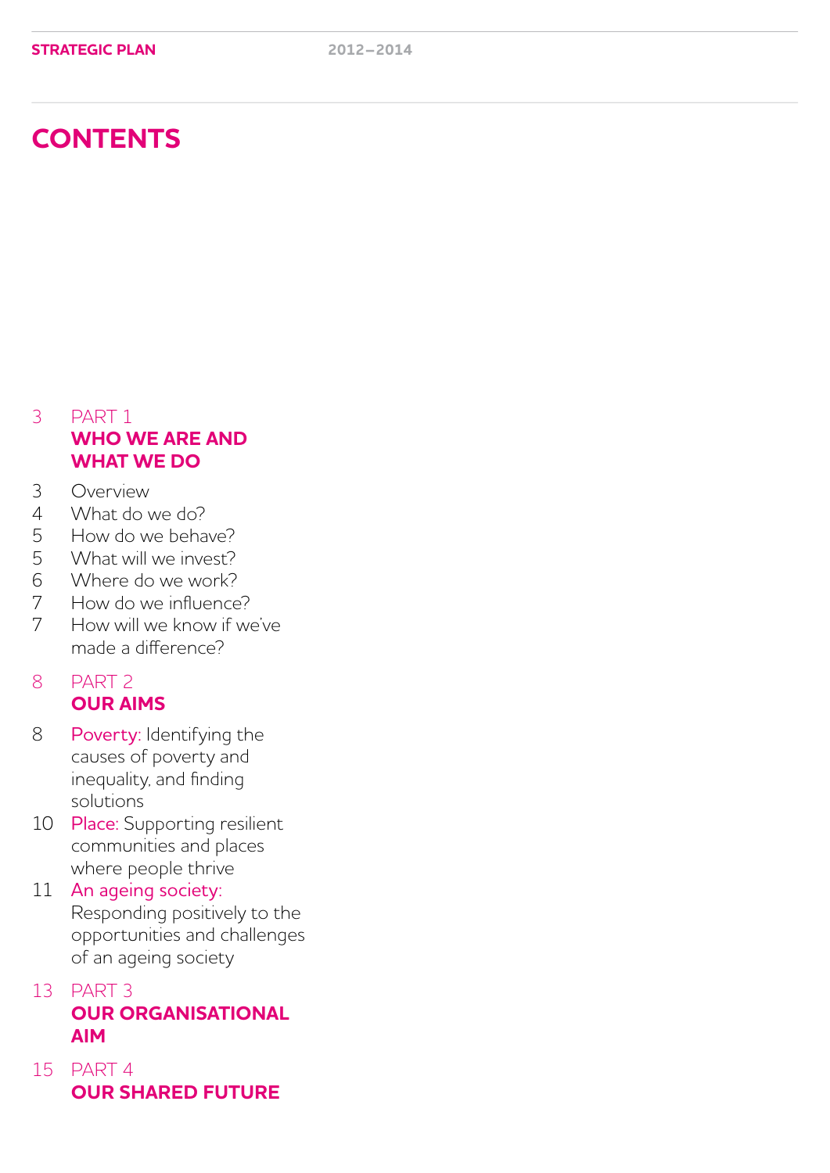### **CONTENTS**

#### 3 PART 1 **who we are and WHAT WE DO**

- 3 Overview
- 4 What do we do?<br>5 How do we beha
- How do we behave?
- 5 What will we invest?
- 6 Where do we work?
- 7 How do we influence?
- 7 How will we know if we've made a difference?

#### 8 Part 2 **Our aims**

- 8 Poverty: Identifying the causes of poverty and inequality, and finding solutions
- 10 Place: Supporting resilient communities and places where people thrive
- 11 An ageing society: Responding positively to the opportunities and challenges of an ageing society

#### 13 Part 3 **Our organisational aim**

15 **PART 4 Our shared future**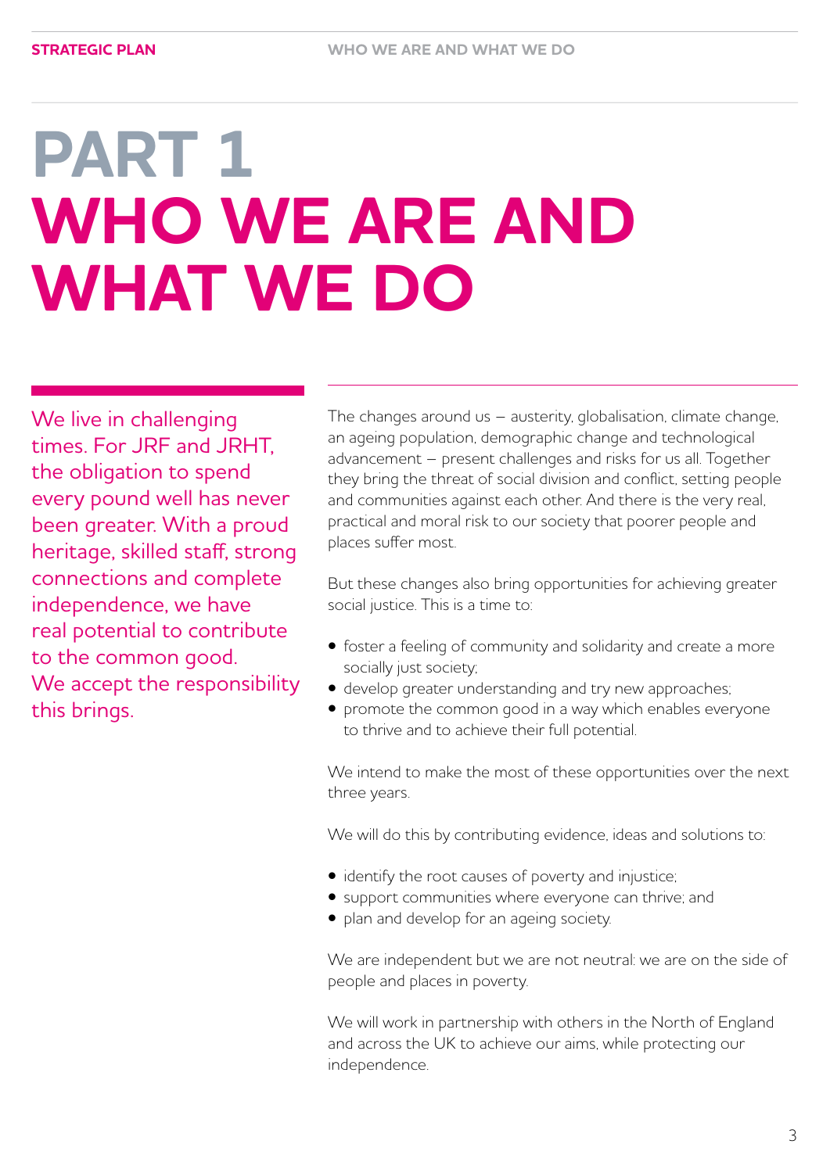## **Part 1 who we are and what we do**

We live in challenging times. For JRF and JRHT, the obligation to spend every pound well has never been greater. With a proud heritage, skilled staff, strong connections and complete independence, we have real potential to contribute to the common good. We accept the responsibility this brings.

The changes around us – austerity, globalisation, climate change, an ageing population, demographic change and technological advancement – present challenges and risks for us all. Together they bring the threat of social division and conflict, setting people and communities against each other. And there is the very real, practical and moral risk to our society that poorer people and places suffer most.

But these changes also bring opportunities for achieving greater social justice. This is a time to:

- foster a feeling of community and solidarity and create a more socially just society;
- develop greater understanding and try new approaches;
- promote the common good in a way which enables everyone to thrive and to achieve their full potential.

We intend to make the most of these opportunities over the next three years.

We will do this by contributing evidence, ideas and solutions to:

- identify the root causes of poverty and injustice;
- support communities where everyone can thrive; and
- plan and develop for an ageing society.

We are independent but we are not neutral: we are on the side of people and places in poverty.

We will work in partnership with others in the North of England and across the UK to achieve our aims, while protecting our independence.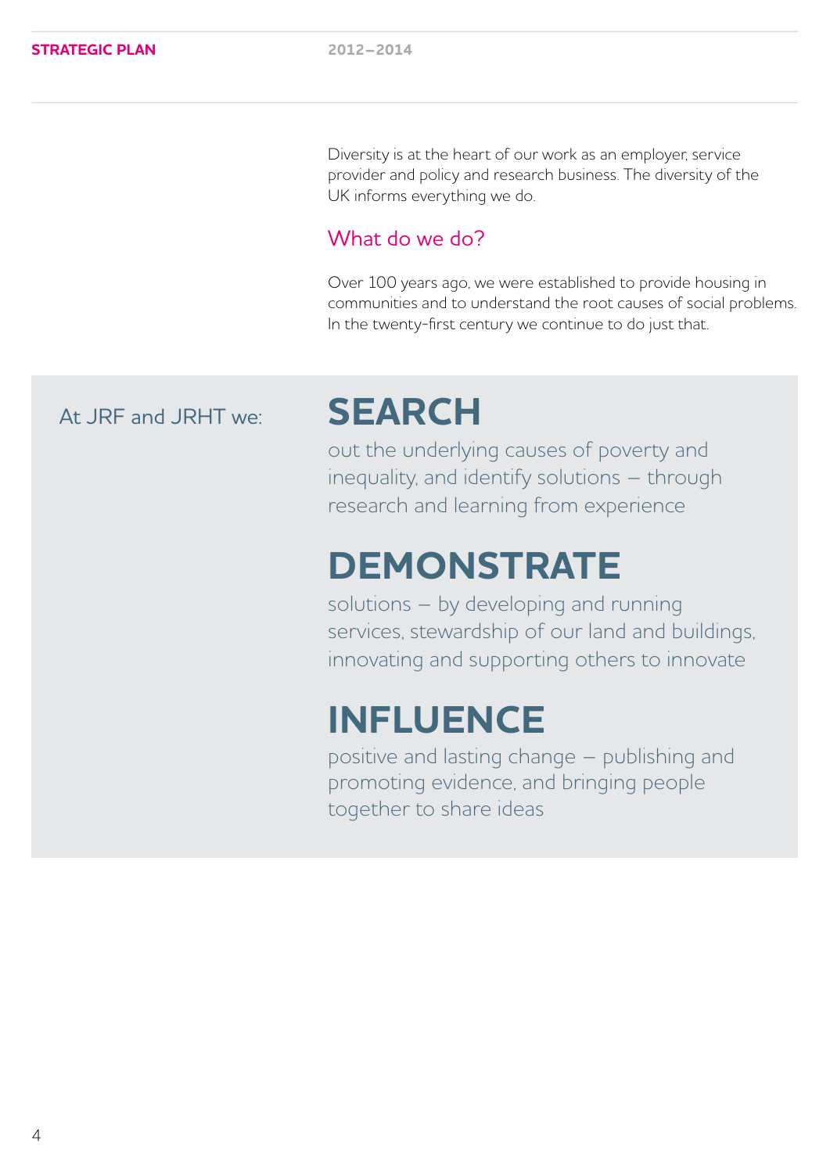Diversity is at the heart of our work as an employer, service provider and policy and research business. The diversity of the UK informs everything we do.

#### What do we do?

Over 100 years ago, we were established to provide housing in communities and to understand the root causes of social problems. In the twenty-first century we continue to do just that.

#### At JRF and JRHT we:

### **search**

out the underlying causes of poverty and inequality, and identify solutions – through research and learning from experience

### **demonstrate**

solutions – by developing and running services, stewardship of our land and buildings, innovating and supporting others to innovate

### **influence**

positive and lasting change – publishing and promoting evidence, and bringing people together to share ideas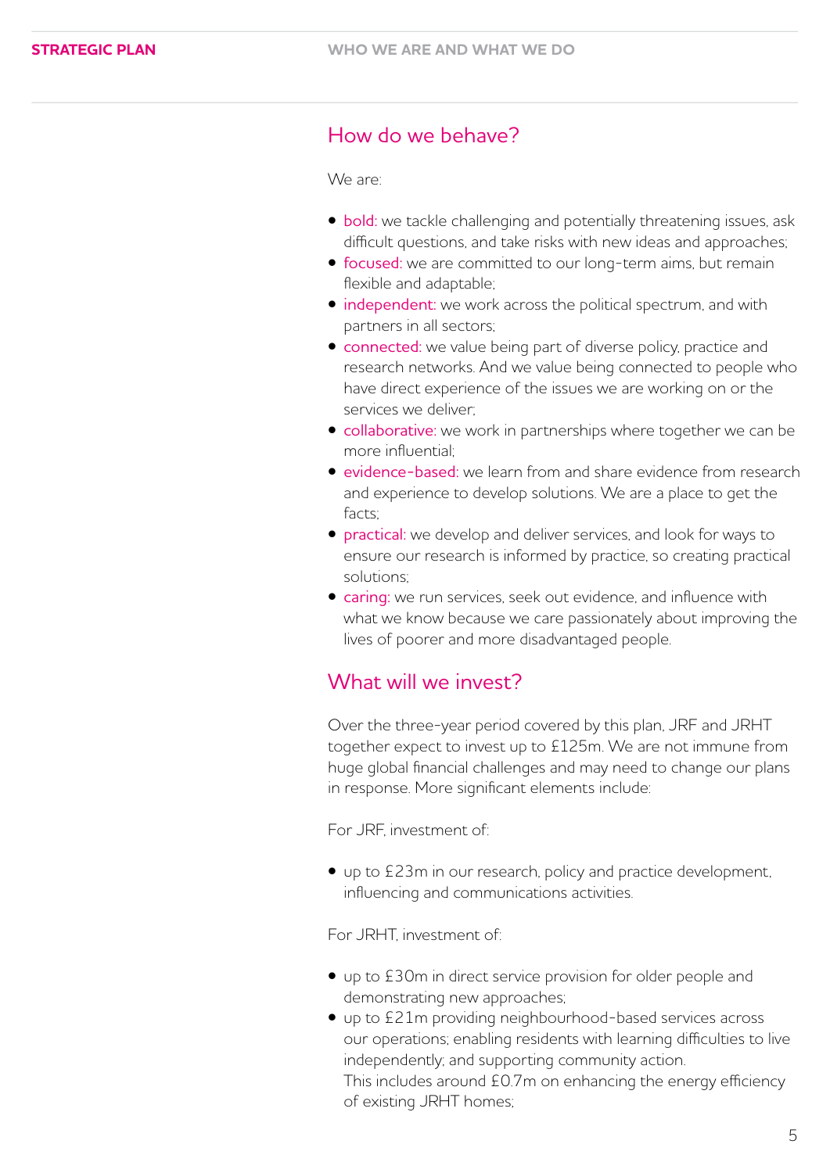#### How do we behave?

We are:

- bold: we tackle challenging and potentially threatening issues, ask difficult questions, and take risks with new ideas and approaches;
- **focused:** we are committed to our long-term aims, but remain flexible and adaptable;
- independent: we work across the political spectrum, and with partners in all sectors;
- connected: we value being part of diverse policy, practice and research networks. And we value being connected to people who have direct experience of the issues we are working on or the services we deliver;
- collaborative: we work in partnerships where together we can be more influential;
- evidence-based: we learn from and share evidence from research and experience to develop solutions. We are a place to get the facts;
- practical: we develop and deliver services, and look for ways to ensure our research is informed by practice, so creating practical solutions;
- caring: we run services, seek out evidence, and influence with what we know because we care passionately about improving the lives of poorer and more disadvantaged people.

#### What will we invest?

Over the three-year period covered by this plan, JRF and JRHT together expect to invest up to £125m. We are not immune from huge global financial challenges and may need to change our plans in response. More significant elements include:

For JRF, investment of:

• up to £23m in our research, policy and practice development, influencing and communications activities.

For JRHT, investment of:

- up to £30m in direct service provision for older people and demonstrating new approaches;
- • up to £21m providing neighbourhood-based services across our operations; enabling residents with learning difficulties to live independently; and supporting community action. This includes around £0.7m on enhancing the energy efficiency of existing JRHT homes;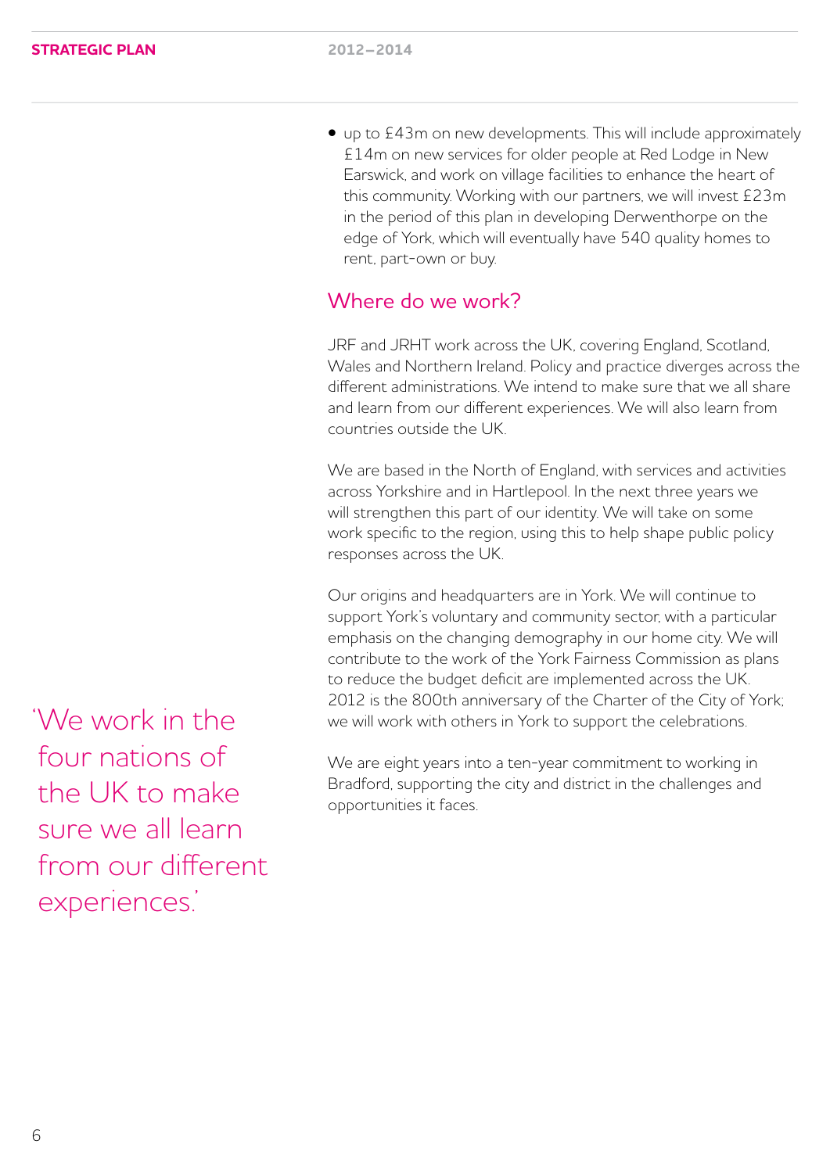• up to £43m on new developments. This will include approximately £14m on new services for older people at Red Lodge in New Earswick, and work on village facilities to enhance the heart of this community. Working with our partners, we will invest £23m in the period of this plan in developing Derwenthorpe on the edge of York, which will eventually have 540 quality homes to rent, part-own or buy.

#### Where do we work?

JRF and JRHT work across the UK, covering England, Scotland, Wales and Northern Ireland. Policy and practice diverges across the different administrations. We intend to make sure that we all share and learn from our different experiences. We will also learn from countries outside the UK.

We are based in the North of England, with services and activities across Yorkshire and in Hartlepool. In the next three years we will strengthen this part of our identity. We will take on some work specific to the region, using this to help shape public policy responses across the UK.

Our origins and headquarters are in York. We will continue to support York's voluntary and community sector, with a particular emphasis on the changing demography in our home city. We will contribute to the work of the York Fairness Commission as plans to reduce the budget deficit are implemented across the UK. 2012 is the 800th anniversary of the Charter of the City of York; we will work with others in York to support the celebrations.

We are eight years into a ten-year commitment to working in Bradford, supporting the city and district in the challenges and opportunities it faces.

'We work in the four nations of the UK to make sure we all learn from our different experiences.'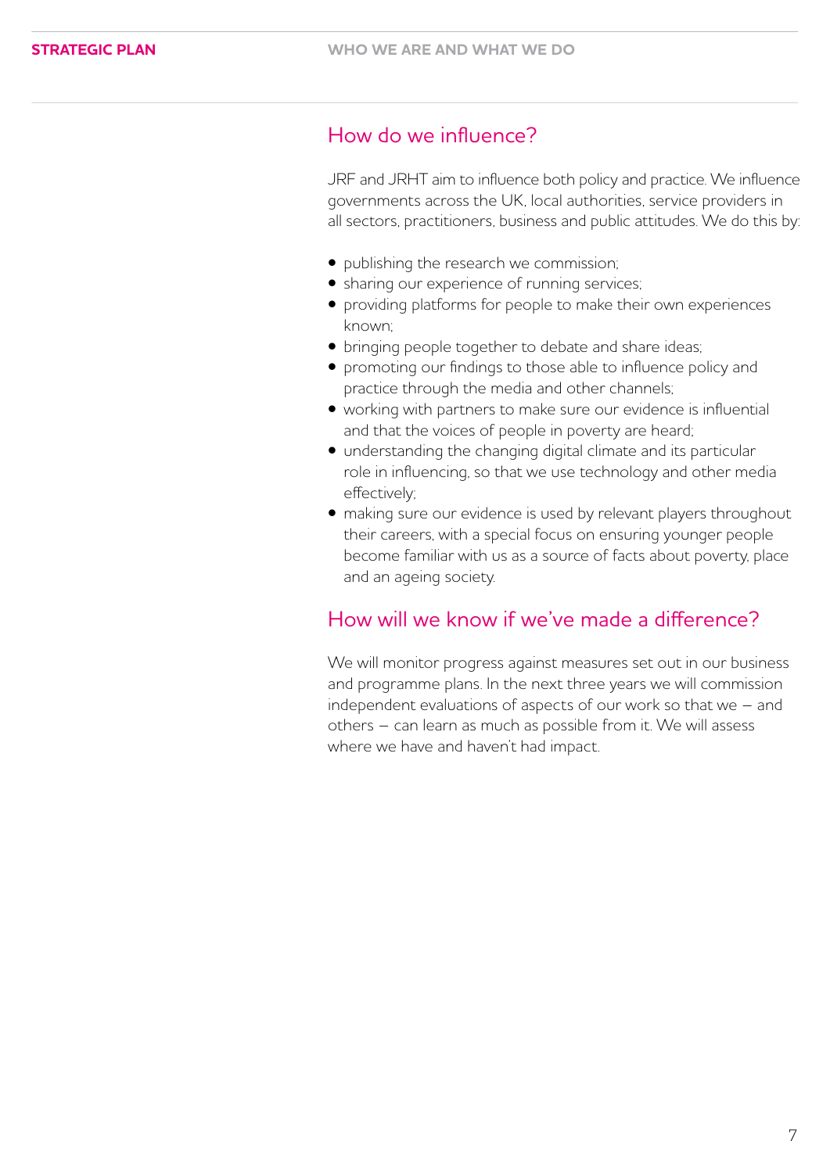#### How do we influence?

JRF and JRHT aim to influence both policy and practice. We influence governments across the UK, local authorities, service providers in all sectors, practitioners, business and public attitudes. We do this by:

- publishing the research we commission;
- sharing our experience of running services;
- providing platforms for people to make their own experiences known;
- bringing people together to debate and share ideas;
- promoting our findings to those able to influence policy and practice through the media and other channels;
- working with partners to make sure our evidence is influential and that the voices of people in poverty are heard;
- understanding the changing digital climate and its particular role in influencing, so that we use technology and other media effectively;
- making sure our evidence is used by relevant players throughout their careers, with a special focus on ensuring younger people become familiar with us as a source of facts about poverty, place and an ageing society.

#### How will we know if we've made a difference?

We will monitor progress against measures set out in our business and programme plans. In the next three years we will commission independent evaluations of aspects of our work so that we – and others – can learn as much as possible from it. We will assess where we have and haven't had impact.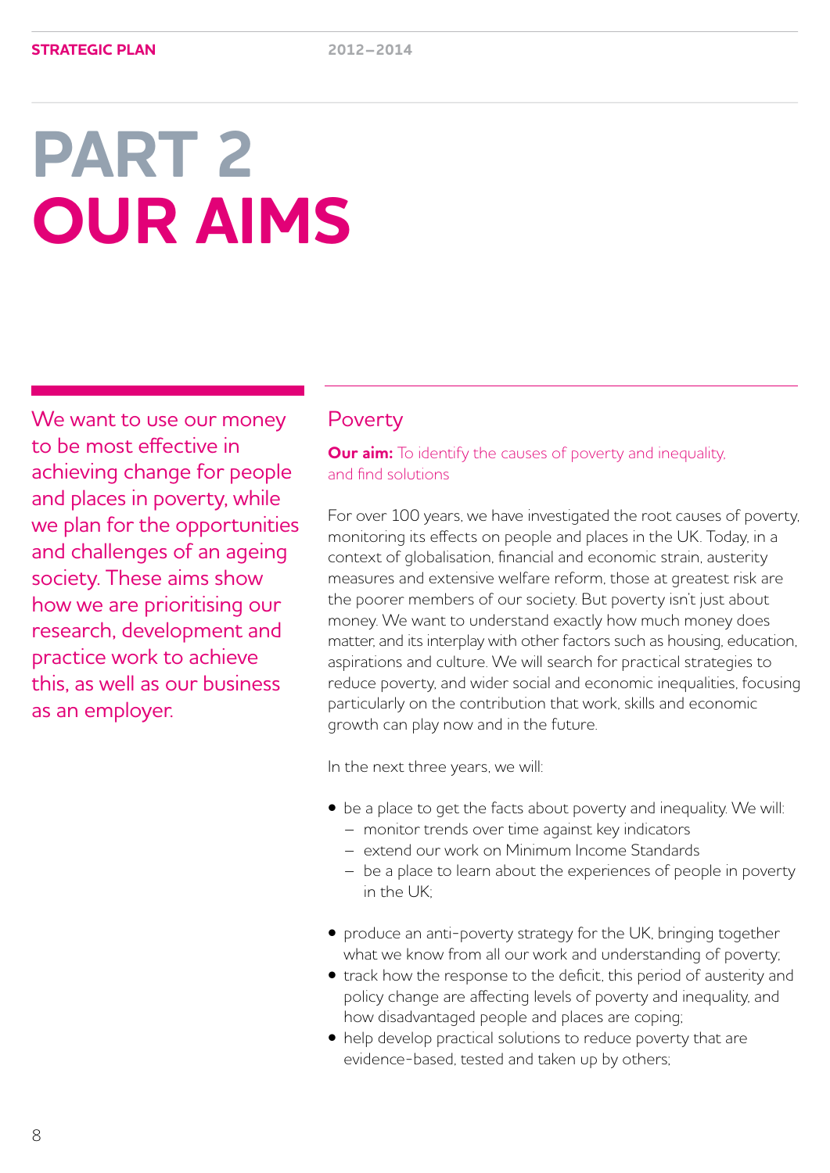#### **STRATEGIC PLAN 2012–2014**

# **Part 2 our aims**

We want to use our money to be most effective in achieving change for people and places in poverty, while we plan for the opportunities and challenges of an ageing society. These aims show how we are prioritising our research, development and practice work to achieve this, as well as our business as an employer.

#### Poverty

**Our aim:** To identify the causes of poverty and inequality, and find solutions

For over 100 years, we have investigated the root causes of poverty, monitoring its effects on people and places in the UK. Today, in a context of globalisation, financial and economic strain, austerity measures and extensive welfare reform, those at greatest risk are the poorer members of our society. But poverty isn't just about money. We want to understand exactly how much money does matter, and its interplay with other factors such as housing, education, aspirations and culture. We will search for practical strategies to reduce poverty, and wider social and economic inequalities, focusing particularly on the contribution that work, skills and economic growth can play now and in the future.

In the next three years, we will:

- be a place to get the facts about poverty and inequality. We will:
	- monitor trends over time against key indicators
	- extend our work on Minimum Income Standards
	- be a place to learn about the experiences of people in poverty in the UK;
- produce an anti-poverty strategy for the UK, bringing together what we know from all our work and understanding of poverty;
- track how the response to the deficit, this period of austerity and policy change are affecting levels of poverty and inequality, and how disadvantaged people and places are coping;
- help develop practical solutions to reduce poverty that are evidence-based, tested and taken up by others;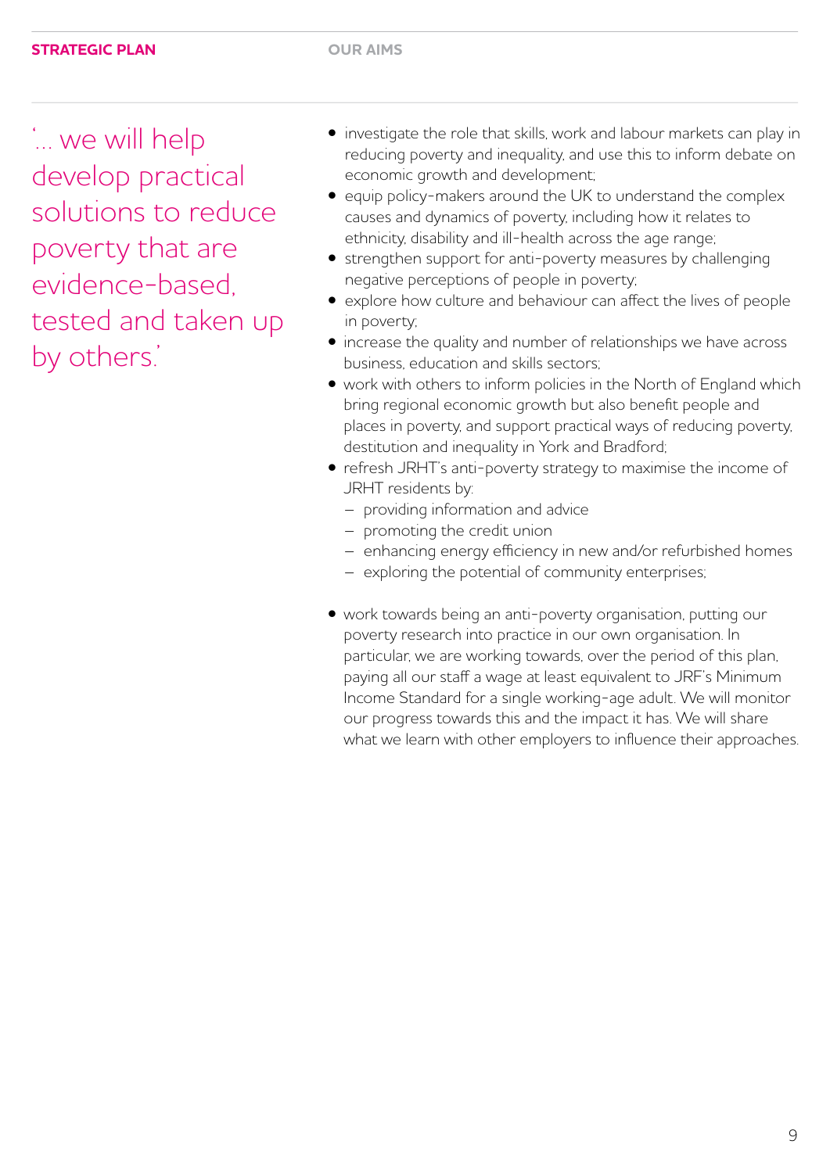'… we will help develop practical solutions to reduce poverty that are evidence-based, tested and taken up by others.'

- investigate the role that skills, work and labour markets can play in reducing poverty and inequality, and use this to inform debate on economic growth and development;
- equip policy-makers around the UK to understand the complex causes and dynamics of poverty, including how it relates to ethnicity, disability and ill-health across the age range;
- strengthen support for anti-poverty measures by challenging negative perceptions of people in poverty;
- explore how culture and behaviour can affect the lives of people in poverty;
- increase the quality and number of relationships we have across business, education and skills sectors;
- work with others to inform policies in the North of England which bring regional economic growth but also benefit people and places in poverty, and support practical ways of reducing poverty, destitution and inequality in York and Bradford;
- refresh JRHT's anti-poverty strategy to maximise the income of JRHT residents by:
	- providing information and advice
	- promoting the credit union
	- enhancing energy efficiency in new and/or refurbished homes
	- exploring the potential of community enterprises;
- work towards being an anti-poverty organisation, putting our poverty research into practice in our own organisation. In particular, we are working towards, over the period of this plan, paying all our staff a wage at least equivalent to JRF's Minimum Income Standard for a single working-age adult. We will monitor our progress towards this and the impact it has. We will share what we learn with other employers to influence their approaches.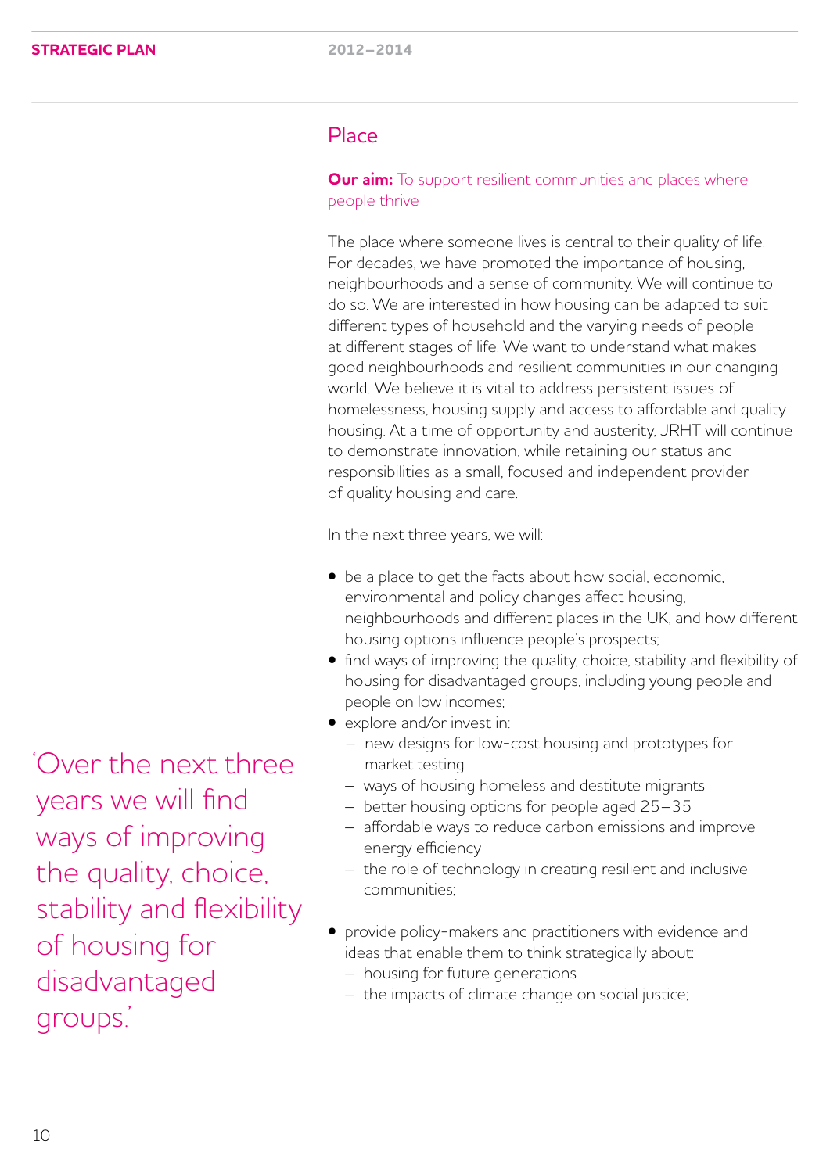#### Place

**Our aim:** To support resilient communities and places where people thrive

The place where someone lives is central to their quality of life. For decades, we have promoted the importance of housing, neighbourhoods and a sense of community. We will continue to do so. We are interested in how housing can be adapted to suit different types of household and the varying needs of people at different stages of life. We want to understand what makes good neighbourhoods and resilient communities in our changing world. We believe it is vital to address persistent issues of homelessness, housing supply and access to affordable and quality housing. At a time of opportunity and austerity, JRHT will continue to demonstrate innovation, while retaining our status and responsibilities as a small, focused and independent provider of quality housing and care.

In the next three years, we will:

- be a place to get the facts about how social, economic, environmental and policy changes affect housing, neighbourhoods and different places in the UK, and how different housing options influence people's prospects;
- find ways of improving the quality, choice, stability and flexibility of housing for disadvantaged groups, including young people and people on low incomes;
- explore and/or invest in:
	- new designs for low-cost housing and prototypes for market testing
	- ways of housing homeless and destitute migrants
	- better housing options for people aged 25–35
	- affordable ways to reduce carbon emissions and improve energy efficiency
	- the role of technology in creating resilient and inclusive communities;
- provide policy-makers and practitioners with evidence and ideas that enable them to think strategically about:
	- housing for future generations
	- the impacts of climate change on social justice;

'Over the next three years we will find ways of improving the quality, choice, stability and flexibility of housing for disadvantaged groups.'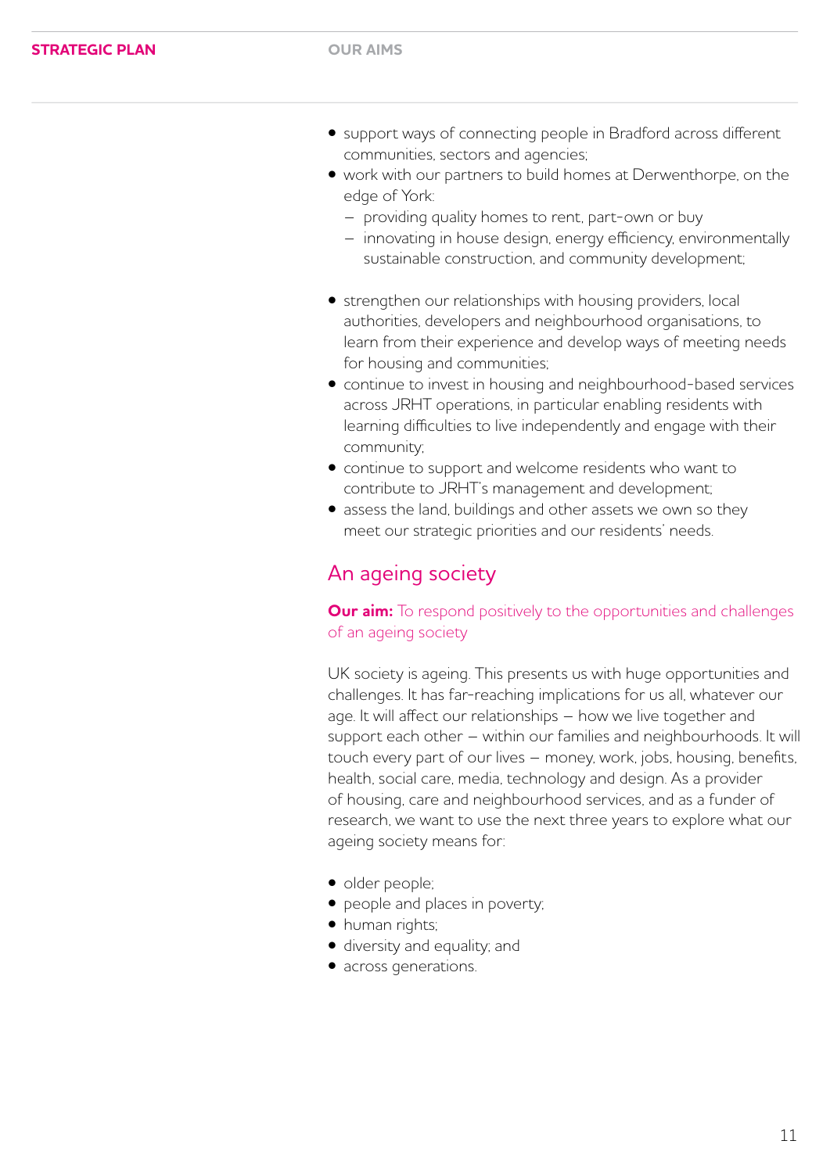- support ways of connecting people in Bradford across different communities, sectors and agencies;
- work with our partners to build homes at Derwenthorpe, on the edge of York:
	- providing quality homes to rent, part-own or buy
	- innovating in house design, energy efficiency, environmentally sustainable construction, and community development;
- **•** strengthen our relationships with housing providers, local authorities, developers and neighbourhood organisations, to learn from their experience and develop ways of meeting needs for housing and communities;
- continue to invest in housing and neighbourhood-based services across JRHT operations, in particular enabling residents with learning difficulties to live independently and engage with their community;
- continue to support and welcome residents who want to contribute to JRHT's management and development;
- assess the land, buildings and other assets we own so they meet our strategic priorities and our residents' needs.

#### An ageing society

**Our aim:** To respond positively to the opportunities and challenges of an ageing society

UK society is ageing. This presents us with huge opportunities and challenges. It has far-reaching implications for us all, whatever our age. It will affect our relationships – how we live together and support each other – within our families and neighbourhoods. It will touch every part of our lives – money, work, jobs, housing, benefits, health, social care, media, technology and design. As a provider of housing, care and neighbourhood services, and as a funder of research, we want to use the next three years to explore what our ageing society means for:

- older people;
- people and places in poverty;
- human rights;
- diversity and equality; and
- across generations.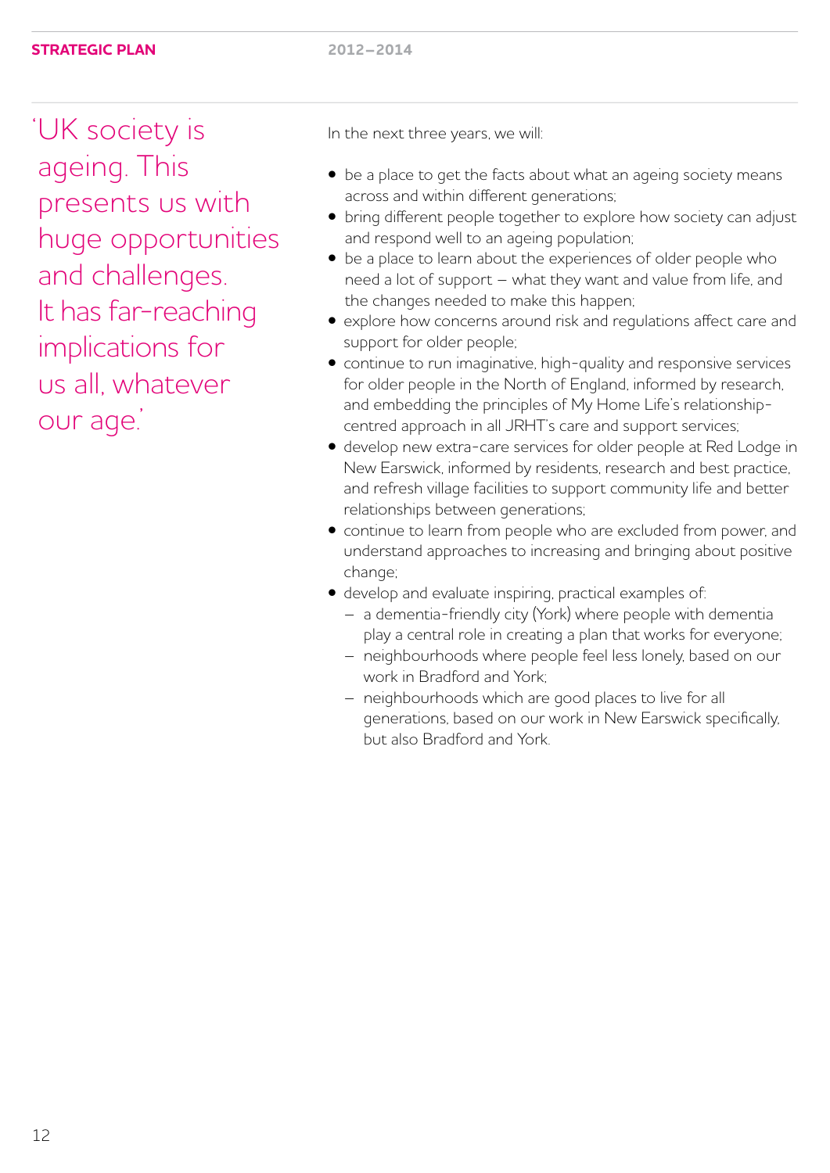'UK society is ageing. This presents us with huge opportunities and challenges. It has far-reaching implications for us all, whatever our age.'

In the next three years, we will:

- be a place to get the facts about what an ageing society means across and within different generations;
- bring different people together to explore how society can adjust and respond well to an ageing population;
- be a place to learn about the experiences of older people who need a lot of support – what they want and value from life, and the changes needed to make this happen;
- explore how concerns around risk and regulations affect care and support for older people;
- continue to run imaginative, high-quality and responsive services for older people in the North of England, informed by research, and embedding the principles of My Home Life's relationshipcentred approach in all JRHT's care and support services;
- **•** develop new extra-care services for older people at Red Lodge in New Earswick, informed by residents, research and best practice, and refresh village facilities to support community life and better relationships between generations;
- continue to learn from people who are excluded from power, and understand approaches to increasing and bringing about positive change;
- develop and evaluate inspiring, practical examples of:
	- a dementia-friendly city (York) where people with dementia play a central role in creating a plan that works for everyone;
	- neighbourhoods where people feel less lonely, based on our work in Bradford and York;
	- neighbourhoods which are good places to live for all generations, based on our work in New Earswick specifically, but also Bradford and York.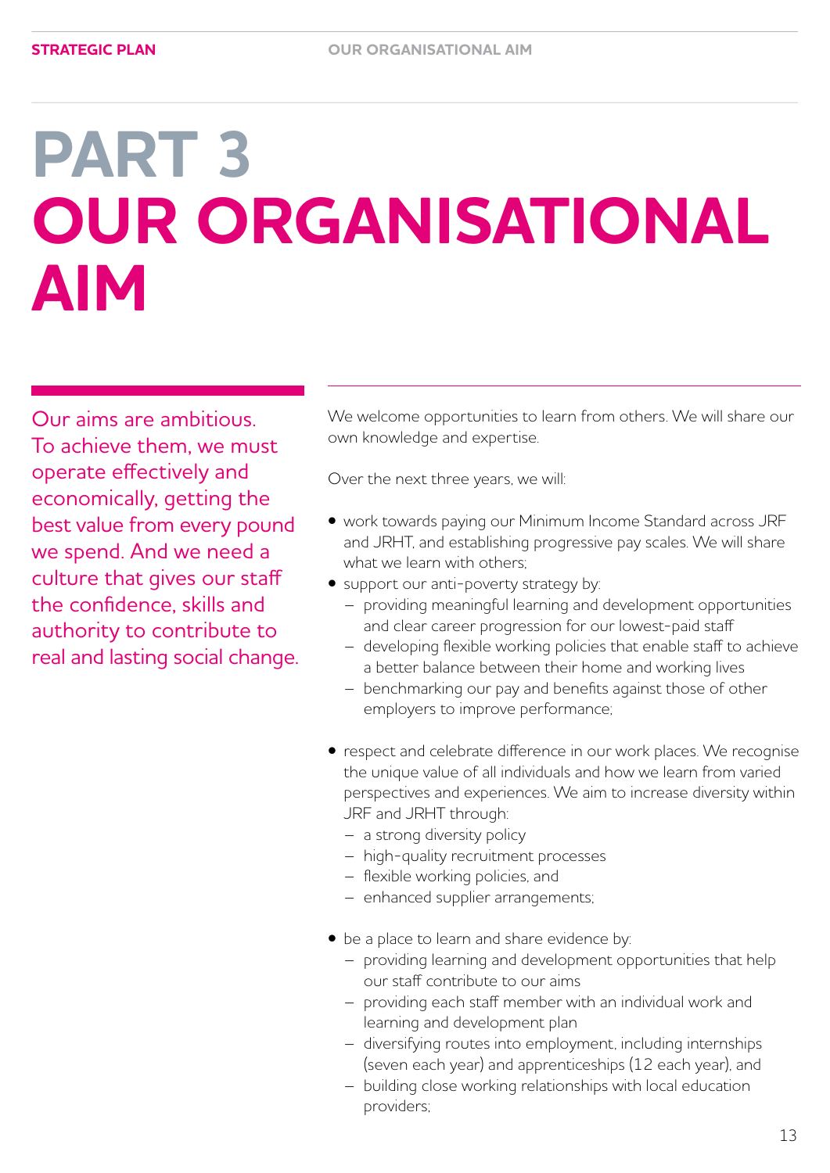## **Part 3 our organisational aim**

Our aims are ambitious. To achieve them, we must operate effectively and economically, getting the best value from every pound we spend. And we need a culture that gives our staff the confidence, skills and authority to contribute to real and lasting social change.

We welcome opportunities to learn from others. We will share our own knowledge and expertise.

Over the next three years, we will:

- work towards paying our Minimum Income Standard across JRF and JRHT, and establishing progressive pay scales. We will share what we learn with others;
- support our anti-poverty strategy by:
	- providing meaningful learning and development opportunities and clear career progression for our lowest-paid staff
	- developing flexible working policies that enable staff to achieve a better balance between their home and working lives
	- benchmarking our pay and benefits against those of other employers to improve performance;
- respect and celebrate difference in our work places. We recognise the unique value of all individuals and how we learn from varied perspectives and experiences. We aim to increase diversity within JRF and JRHT through:
	- a strong diversity policy
	- high-quality recruitment processes
	- flexible working policies, and
	- enhanced supplier arrangements;
- be a place to learn and share evidence by:
	- providing learning and development opportunities that help our staff contribute to our aims
	- providing each staff member with an individual work and learning and development plan
	- diversifying routes into employment, including internships (seven each year) and apprenticeships (12 each year), and
	- building close working relationships with local education providers;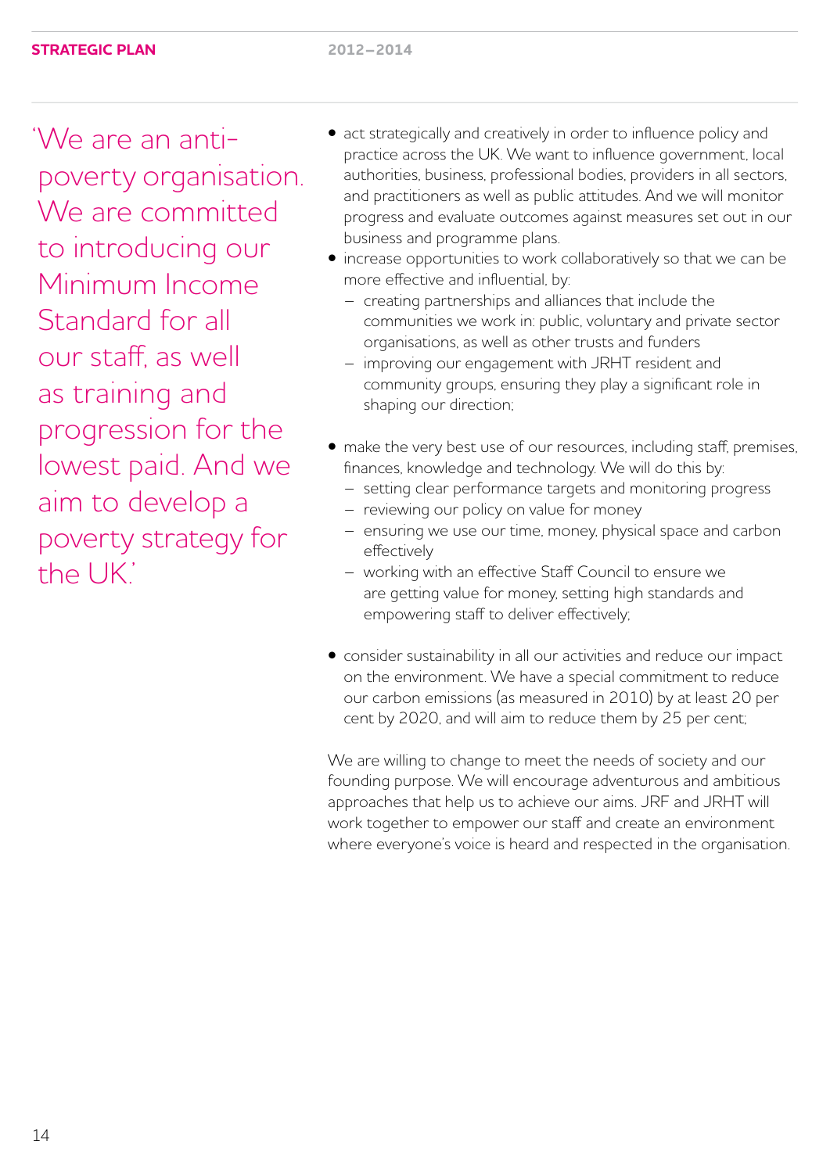'We are an antipoverty organisation. We are committed to introducing our Minimum Income Standard for all our staff, as well as training and progression for the lowest paid. And we aim to develop a poverty strategy for the UK.'

- act strategically and creatively in order to influence policy and practice across the UK. We want to influence government, local authorities, business, professional bodies, providers in all sectors, and practitioners as well as public attitudes. And we will monitor progress and evaluate outcomes against measures set out in our business and programme plans.
- increase opportunities to work collaboratively so that we can be more effective and influential, by:
	- creating partnerships and alliances that include the communities we work in: public, voluntary and private sector organisations, as well as other trusts and funders
	- improving our engagement with JRHT resident and community groups, ensuring they play a significant role in shaping our direction;
- make the very best use of our resources, including staff, premises, finances, knowledge and technology. We will do this by:
	- setting clear performance targets and monitoring progress
	- reviewing our policy on value for money
	- ensuring we use our time, money, physical space and carbon effectively
	- working with an effective Staff Council to ensure we are getting value for money, setting high standards and empowering staff to deliver effectively;
- consider sustainability in all our activities and reduce our impact on the environment. We have a special commitment to reduce our carbon emissions (as measured in 2010) by at least 20 per cent by 2020, and will aim to reduce them by 25 per cent;

We are willing to change to meet the needs of society and our founding purpose. We will encourage adventurous and ambitious approaches that help us to achieve our aims. JRF and JRHT will work together to empower our staff and create an environment where everyone's voice is heard and respected in the organisation.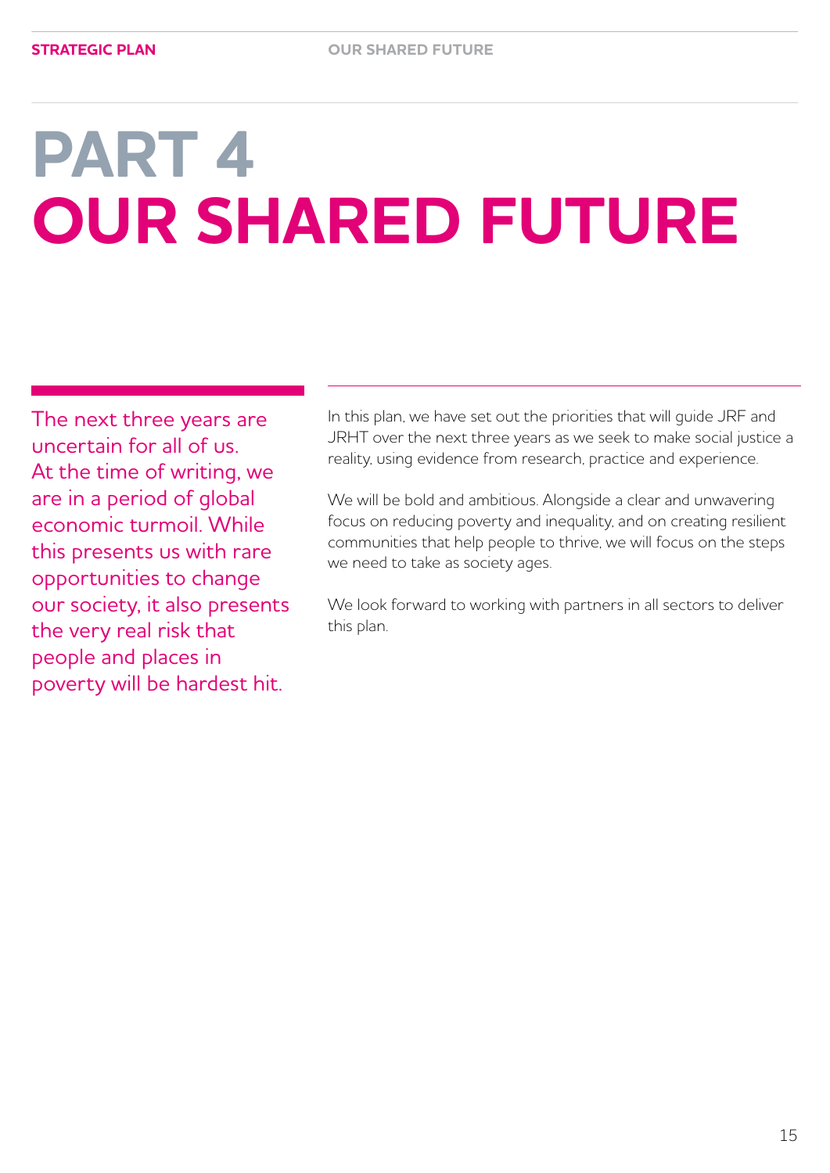## **Part 4 our shared future**

The next three years are uncertain for all of us. At the time of writing, we are in a period of global economic turmoil. While this presents us with rare opportunities to change our society, it also presents the very real risk that people and places in poverty will be hardest hit.

In this plan, we have set out the priorities that will guide JRF and JRHT over the next three years as we seek to make social justice a reality, using evidence from research, practice and experience.

We will be bold and ambitious. Alongside a clear and unwavering focus on reducing poverty and inequality, and on creating resilient communities that help people to thrive, we will focus on the steps we need to take as society ages.

We look forward to working with partners in all sectors to deliver this plan.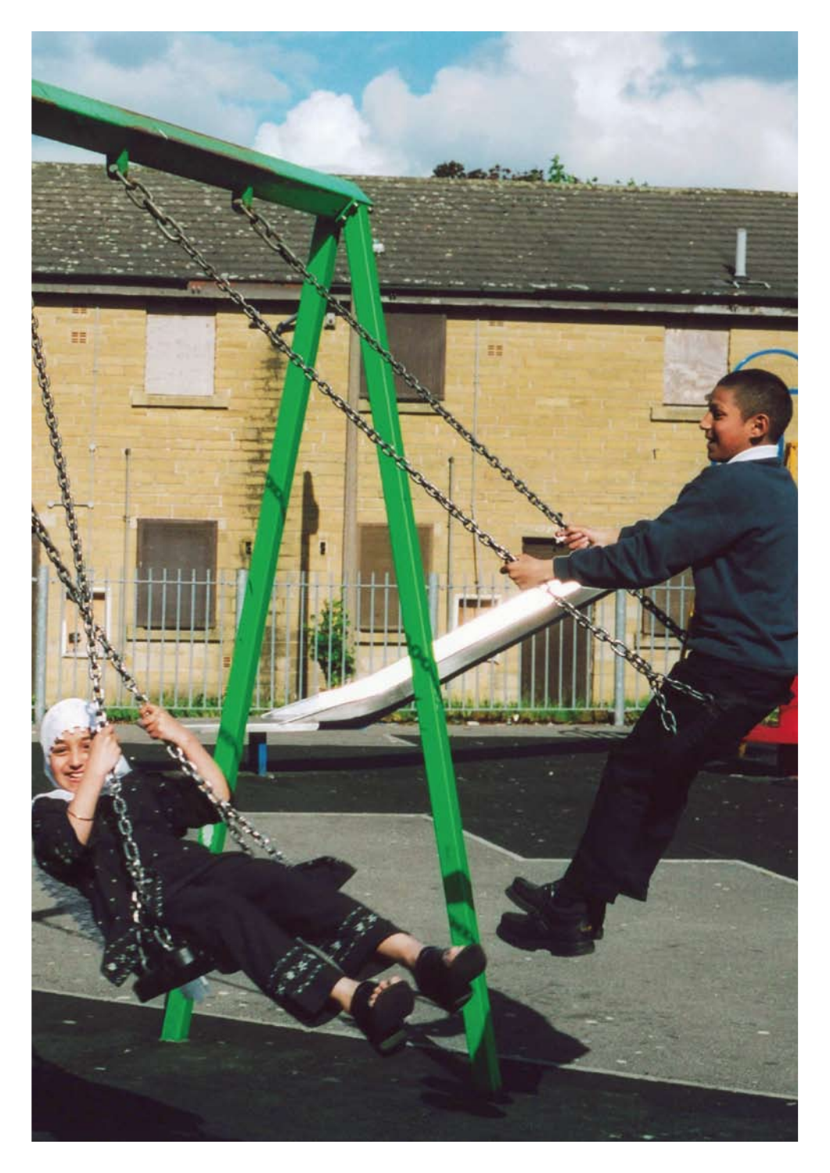